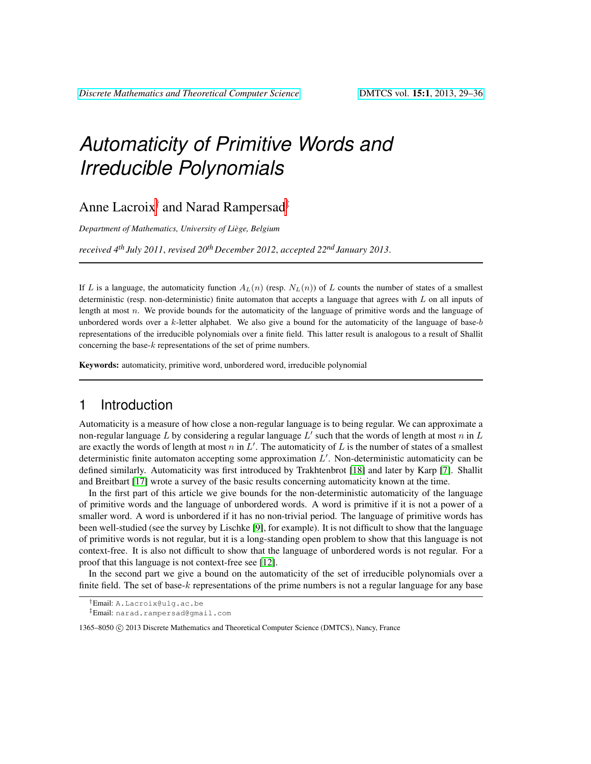# *Automaticity of Primitive Words and Irreducible Polynomials*

Anne Lacroix<sup>†</sup> and Narad Rampersad<sup>‡</sup>

*Department of Mathematics, University of Liege, Belgium `*

*received 4th July 2011*, *revised 20th December 2012*, *accepted 22nd January 2013*.

If L is a language, the automaticity function  $A_L(n)$  (resp.  $N_L(n)$ ) of L counts the number of states of a smallest deterministic (resp. non-deterministic) finite automaton that accepts a language that agrees with  $L$  on all inputs of length at most n. We provide bounds for the automaticity of the language of primitive words and the language of unbordered words over a  $k$ -letter alphabet. We also give a bound for the automaticity of the language of base-b representations of the irreducible polynomials over a finite field. This latter result is analogous to a result of Shallit concerning the base- $k$  representations of the set of prime numbers.

Keywords: automaticity, primitive word, unbordered word, irreducible polynomial

# 1 Introduction

Automaticity is a measure of how close a non-regular language is to being regular. We can approximate a non-regular language L by considering a regular language  $L'$  such that the words of length at most  $n$  in  $L$ are exactly the words of length at most n in  $L'$ . The automaticity of L is the number of states of a smallest deterministic finite automaton accepting some approximation  $L'$ . Non-deterministic automaticity can be defined similarly. Automaticity was first introduced by Trakhtenbrot [\[18\]](#page-7-0) and later by Karp [\[7\]](#page-7-1). Shallit and Breitbart [\[17\]](#page-7-2) wrote a survey of the basic results concerning automaticity known at the time.

In the first part of this article we give bounds for the non-deterministic automaticity of the language of primitive words and the language of unbordered words. A word is primitive if it is not a power of a smaller word. A word is unbordered if it has no non-trivial period. The language of primitive words has been well-studied (see the survey by Lischke [\[9\]](#page-7-3), for example). It is not difficult to show that the language of primitive words is not regular, but it is a long-standing open problem to show that this language is not context-free. It is also not difficult to show that the language of unbordered words is not regular. For a proof that this language is not context-free see [\[12\]](#page-7-4).

In the second part we give a bound on the automaticity of the set of irreducible polynomials over a finite field. The set of base-k representations of the prime numbers is not a regular language for any base

‡Email: narad.rampersad@gmail.com

<sup>†</sup>Email: A.Lacroix@ulg.ac.be

<sup>1365–8050</sup> C 2013 Discrete Mathematics and Theoretical Computer Science (DMTCS), Nancy, France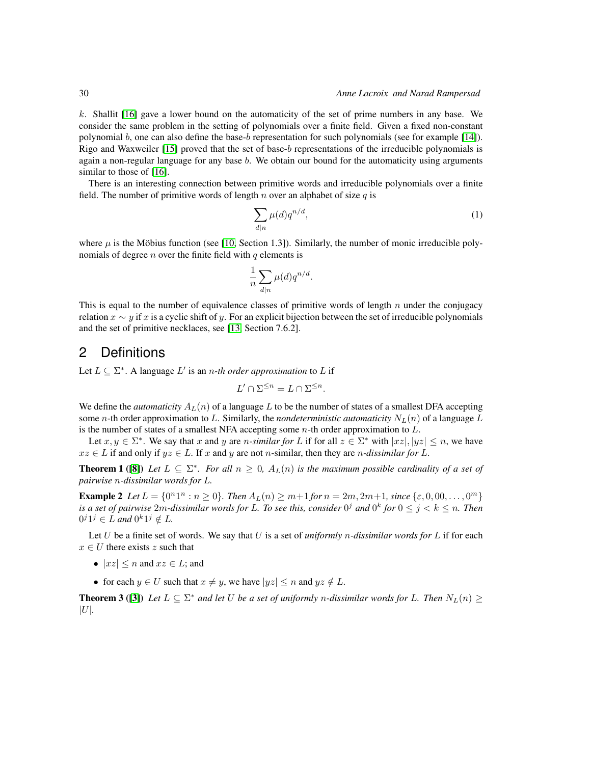k. Shallit [\[16\]](#page-7-5) gave a lower bound on the automaticity of the set of prime numbers in any base. We consider the same problem in the setting of polynomials over a finite field. Given a fixed non-constant polynomial b, one can also define the base-b representation for such polynomials (see for example [\[14\]](#page-7-6)). Rigo and Waxweiler [\[15\]](#page-7-7) proved that the set of base-b representations of the irreducible polynomials is again a non-regular language for any base b. We obtain our bound for the automaticity using arguments similar to those of [\[16\]](#page-7-5).

There is an interesting connection between primitive words and irreducible polynomials over a finite field. The number of primitive words of length  $n$  over an alphabet of size  $q$  is

$$
\sum_{d|n} \mu(d) q^{n/d},\tag{1}
$$

where  $\mu$  is the Möbius function (see [\[10,](#page-7-8) Section 1.3]). Similarly, the number of monic irreducible polynomials of degree  $n$  over the finite field with  $q$  elements is

$$
\frac{1}{n} \sum_{d|n} \mu(d) q^{n/d}.
$$

This is equal to the number of equivalence classes of primitive words of length n under the conjugacy relation  $x \sim y$  if x is a cyclic shift of y. For an explicit bijection between the set of irreducible polynomials and the set of primitive necklaces, see [\[13,](#page-7-9) Section 7.6.2].

### 2 Definitions

Let  $L \subseteq \Sigma^*$ . A language  $L'$  is an *n-th order approximation* to L if

$$
L' \cap \Sigma^{\leq n} = L \cap \Sigma^{\leq n}.
$$

We define the *automaticity*  $A_L(n)$  of a language L to be the number of states of a smallest DFA accepting some n-th order approximation to L. Similarly, the *nondeterministic automaticity*  $N_L(n)$  of a language L is the number of states of a smallest NFA accepting some  $n$ -th order approximation to  $L$ .

Let  $x, y \in \Sigma^*$ . We say that x and y are n-similar for L if for all  $z \in \Sigma^*$  with  $|xz|, |yz| \le n$ , we have  $xz \in L$  if and only if  $yz \in L$ . If x and y are not n-similar, then they are n-dissimilar for L.

**Theorem 1** ([\[8\]](#page-7-10)) Let  $L \subseteq \Sigma^*$ . For all  $n \geq 0$ ,  $A_L(n)$  is the maximum possible cardinality of a set of *pairwise* n*-dissimilar words for* L*.*

**Example 2** Let  $L = \{0^n1^n : n \ge 0\}$ . Then  $A_L(n) \ge m+1$  for  $n = 2m, 2m+1$ , since  $\{\varepsilon, 0, 00, \ldots, 0^m\}$ is a set of pairwise  $2m$ -dissimilar words for L. To see this, consider  $0^j$  and  $0^k$  for  $0\leq j < k \leq n$ . Then  $0^{j}1^{j} \in L$  and  $0^{k}1^{j} \notin L$ .

Let U be a finite set of words. We say that U is a set of *uniformly* n*-dissimilar words for* L if for each  $x \in U$  there exists z such that

- $|xz| \leq n$  and  $xz \in L$ ; and
- for each  $y \in U$  such that  $x \neq y$ , we have  $|yz| \leq n$  and  $yz \notin L$ .

<span id="page-1-0"></span>**Theorem 3** ([\[3\]](#page-7-11)) Let  $L \subseteq \Sigma^*$  and let U be a set of uniformly *n*-dissimilar words for L. Then  $N_L(n) \geq$  $|U|$ .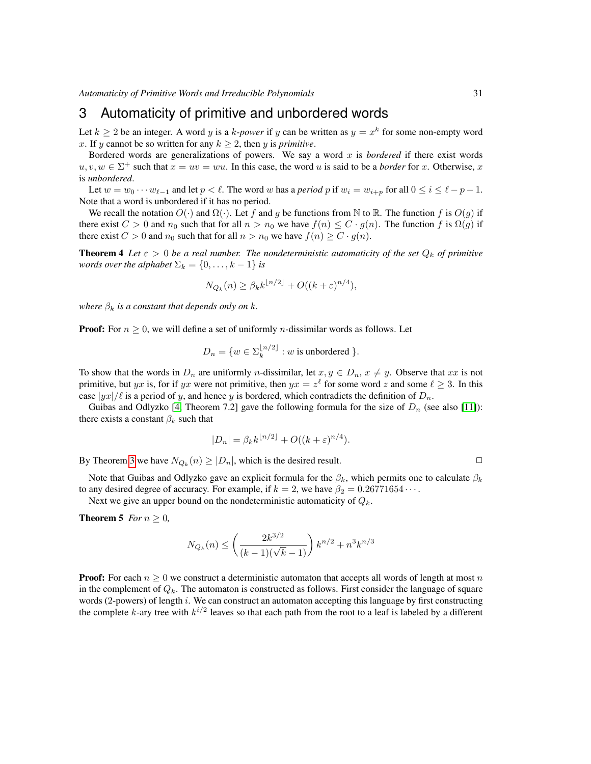## 3 Automaticity of primitive and unbordered words

Let  $k \ge 2$  be an integer. A word y is a k-power if y can be written as  $y = x^k$  for some non-empty word x. If y cannot be so written for any  $k \geq 2$ , then y is *primitive*.

Bordered words are generalizations of powers. We say a word  $x$  is *bordered* if there exist words  $u, v, w \in \Sigma^+$  such that  $x = uv = wu$ . In this case, the word u is said to be a *border* for x. Otherwise, x is *unbordered*.

Let  $w = w_0 \cdots w_{\ell-1}$  and let  $p < \ell$ . The word w has a *period* p if  $w_i = w_{i+p}$  for all  $0 \le i \le \ell - p - 1$ . Note that a word is unbordered if it has no period.

We recall the notation  $O(\cdot)$  and  $\Omega(\cdot)$ . Let f and g be functions from N to R. The function f is  $O(q)$  if there exist  $C > 0$  and  $n_0$  such that for all  $n > n_0$  we have  $f(n) \leq C \cdot g(n)$ . The function f is  $\Omega(g)$  if there exist  $C > 0$  and  $n_0$  such that for all  $n > n_0$  we have  $f(n) \geq C \cdot g(n)$ .

**Theorem 4** Let  $\varepsilon > 0$  be a real number. The nondeterministic automaticity of the set  $Q_k$  of primitive *words over the alphabet*  $\Sigma_k = \{0, \ldots, k-1\}$  *is* 

$$
N_{Q_k}(n) \ge \beta_k k^{\lfloor n/2 \rfloor} + O((k+\varepsilon)^{n/4}),
$$

*where*  $\beta_k$  *is a constant that depends only on k.* 

**Proof:** For  $n \geq 0$ , we will define a set of uniformly *n*-dissimilar words as follows. Let

$$
D_n = \{ w \in \Sigma_k^{\lfloor n/2 \rfloor} : w \text{ is unbordered } \}.
$$

To show that the words in  $D_n$  are uniformly *n*-dissimilar, let  $x, y \in D_n$ ,  $x \neq y$ . Observe that xx is not primitive, but yx is, for if yx were not primitive, then  $yx = z^{\ell}$  for some word z and some  $\ell \ge 3$ . In this case  $|yx|/\ell$  is a period of y, and hence y is bordered, which contradicts the definition of  $D_n$ .

Guibas and Odlyzko [\[4,](#page-7-12) Theorem 7.2] gave the following formula for the size of  $D_n$  (see also [\[11\]](#page-7-13)): there exists a constant  $\beta_k$  such that

$$
|D_n| = \beta_k k^{\lfloor n/2 \rfloor} + O((k+\varepsilon)^{n/4}).
$$

By Theorem [3](#page-1-0) we have  $N_{Q_k}(n) \geq |D_n|$ , which is the desired result.

Note that Guibas and Odlyzko gave an explicit formula for the  $\beta_k$ , which permits one to calculate  $\beta_k$ to any desired degree of accuracy. For example, if  $k = 2$ , we have  $\beta_2 = 0.26771654 \cdots$ .

Next we give an upper bound on the nondeterministic automaticity of  $Q_k$ .

**Theorem 5** *For*  $n \geq 0$ *,* 

$$
N_{Q_k}(n) \le \left(\frac{2k^{3/2}}{(k-1)(\sqrt{k}-1)}\right)k^{n/2} + n^3k^{n/3}
$$

**Proof:** For each  $n \geq 0$  we construct a deterministic automaton that accepts all words of length at most n in the complement of  $Q_k$ . The automaton is constructed as follows. First consider the language of square words (2-powers) of length i. We can construct an automaton accepting this language by first constructing the complete k-ary tree with  $k^{i/2}$  leaves so that each path from the root to a leaf is labeled by a different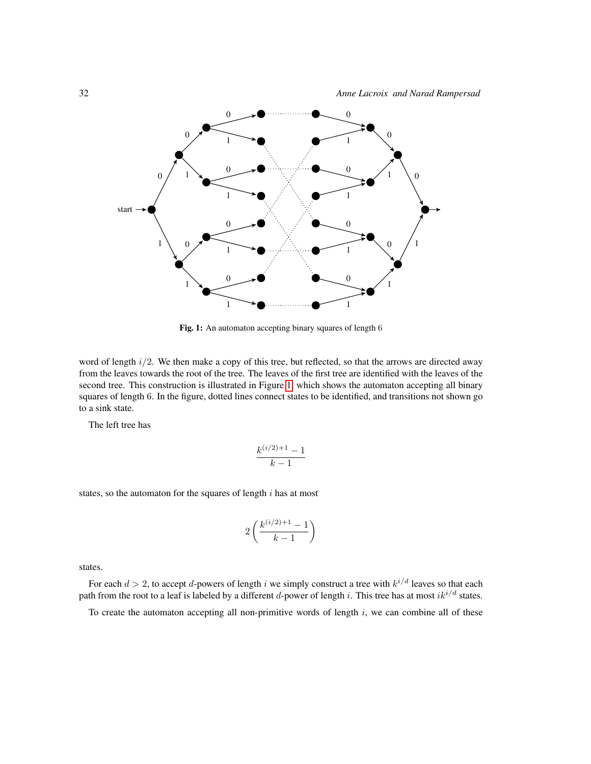

<span id="page-3-0"></span>Fig. 1: An automaton accepting binary squares of length 6

word of length  $i/2$ . We then make a copy of this tree, but reflected, so that the arrows are directed away from the leaves towards the root of the tree. The leaves of the first tree are identified with the leaves of the second tree. This construction is illustrated in Figure [1,](#page-3-0) which shows the automaton accepting all binary squares of length 6. In the figure, dotted lines connect states to be identified, and transitions not shown go to a sink state.

The left tree has

$$
\frac{k^{(i/2)+1}-1}{k-1}
$$

states, so the automaton for the squares of length  $i$  has at most

$$
2\left(\frac{k^{(i/2)+1}-1}{k-1}\right)
$$

states.

For each  $d > 2$ , to accept d-powers of length i we simply construct a tree with  $k^{i/d}$  leaves so that each path from the root to a leaf is labeled by a different d-power of length i. This tree has at most  $ik^{i/d}$  states.

To create the automaton accepting all non-primitive words of length  $i$ , we can combine all of these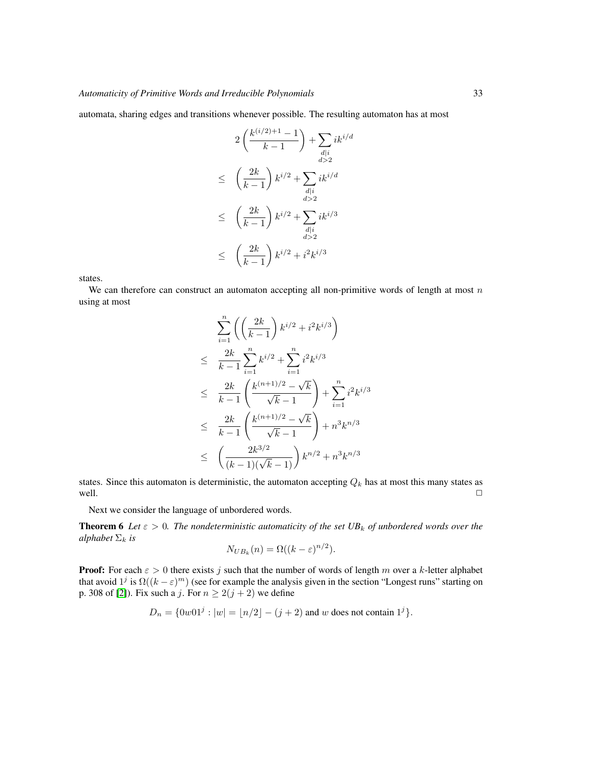automata, sharing edges and transitions whenever possible. The resulting automaton has at most

$$
2\left(\frac{k^{(i/2)+1}-1}{k-1}\right) + \sum_{\substack{d|i \ d>2}} ik^{i/d}
$$
  
\n
$$
\leq \left(\frac{2k}{k-1}\right)k^{i/2} + \sum_{\substack{d|i \ d>2}} ik^{i/d}
$$
  
\n
$$
\leq \left(\frac{2k}{k-1}\right)k^{i/2} + \sum_{\substack{d|i \ d>2}} ik^{i/3}
$$
  
\n
$$
\leq \left(\frac{2k}{k-1}\right)k^{i/2} + i^2k^{i/3}
$$

states.

We can therefore can construct an automaton accepting all non-primitive words of length at most  $n$ using at most

$$
\sum_{i=1}^{n} \left( \left( \frac{2k}{k-1} \right) k^{i/2} + i^2 k^{i/3} \right)
$$
\n
$$
\leq \frac{2k}{k-1} \sum_{i=1}^{n} k^{i/2} + \sum_{i=1}^{n} i^2 k^{i/3}
$$
\n
$$
\leq \frac{2k}{k-1} \left( \frac{k^{(n+1)/2} - \sqrt{k}}{\sqrt{k-1}} \right) + \sum_{i=1}^{n} i^2 k^{i/3}
$$
\n
$$
\leq \frac{2k}{k-1} \left( \frac{k^{(n+1)/2} - \sqrt{k}}{\sqrt{k-1}} \right) + n^3 k^{n/3}
$$
\n
$$
\leq \left( \frac{2k^{3/2}}{(k-1)(\sqrt{k}-1)} \right) k^{n/2} + n^3 k^{n/3}
$$

states. Since this automaton is deterministic, the automaton accepting  $Q_k$  has at most this many states as well. well.  $\Box$ 

Next we consider the language of unbordered words.

**Theorem 6** Let  $\varepsilon > 0$ . The nondeterministic automaticity of the set UB<sub>k</sub> of unbordered words over the *alphabet*  $\Sigma_k$  *is* 

$$
N_{UB_k}(n) = \Omega((k - \varepsilon)^{n/2}).
$$

**Proof:** For each  $\epsilon > 0$  there exists j such that the number of words of length m over a k-letter alphabet that avoid  $1^j$  is  $\Omega((k - \varepsilon)^m)$  (see for example the analysis given in the section "Longest runs" starting on p. 308 of [\[2\]](#page-7-14)). Fix such a j. For  $n \ge 2(j + 2)$  we define

$$
D_n = \{0w01^j : |w| = \lfloor n/2 \rfloor - (j+2) \text{ and } w \text{ does not contain } 1^j\}.
$$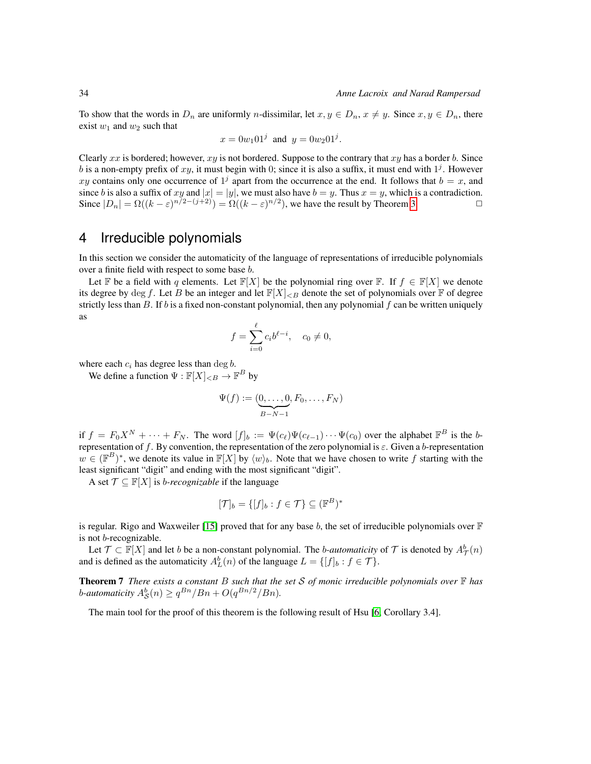To show that the words in  $D_n$  are uniformly n-dissimilar, let  $x, y \in D_n$ ,  $x \neq y$ . Since  $x, y \in D_n$ , there exist  $w_1$  and  $w_2$  such that

$$
x = 0w_1 01^j
$$
 and  $y = 0w_2 01^j$ .

Clearly xx is bordered; however,  $xy$  is not bordered. Suppose to the contrary that  $xy$  has a border b. Since b is a non-empty prefix of  $xy$ , it must begin with 0; since it is also a suffix, it must end with  $1<sup>j</sup>$ . However xy contains only one occurrence of  $1<sup>j</sup>$  apart from the occurrence at the end. It follows that  $b = x$ , and since b is also a suffix of xy and  $|x| = |y|$ , we must also have  $b = y$ . Thus  $x = y$ , which is a contradiction. Since  $|D_n| = \Omega((k-\varepsilon)^{n/2-(j+2)}) = \Omega((k-\varepsilon)^{n/2})$ , we have the result by Theorem [3.](#page-1-0)

## 4 Irreducible polynomials

In this section we consider the automaticity of the language of representations of irreducible polynomials over a finite field with respect to some base b.

Let F be a field with q elements. Let  $\mathbb{F}[X]$  be the polynomial ring over F. If  $f \in \mathbb{F}[X]$  we denote its degree by deg f. Let B be an integer and let  $\mathbb{F}[X]_{\leq B}$  denote the set of polynomials over  $\mathbb F$  of degree strictly less than B. If b is a fixed non-constant polynomial, then any polynomial f can be written uniquely as

$$
f = \sum_{i=0}^{\ell} c_i b^{\ell-i}, \quad c_0 \neq 0,
$$

where each  $c_i$  has degree less than deg  $b$ .

We define a function  $\Psi : \mathbb{F}[X]_{\leq B} \to \mathbb{F}^B$  by

$$
\Psi(f) := (\underbrace{0, \ldots, 0}_{B-N-1}, F_0, \ldots, F_N)
$$

if  $f = F_0 X^N + \cdots + F_N$ . The word  $[f]_b := \Psi(c_\ell) \Psi(c_{\ell-1}) \cdots \Psi(c_0)$  over the alphabet  $\mathbb{F}^B$  is the brepresentation of f. By convention, the representation of the zero polynomial is  $\varepsilon$ . Given a b-representation  $w \in (\mathbb{F}^B)^*$ , we denote its value in  $\mathbb{F}[X]$  by  $\langle w \rangle_b$ . Note that we have chosen to write f starting with the least significant "digit" and ending with the most significant "digit".

A set  $\mathcal{T} \subseteq \mathbb{F}[X]$  is *b-recognizable* if the language

$$
[\mathcal{T}]_b = \{ [f]_b : f \in \mathcal{T} \} \subseteq (\mathbb{F}^B)^*
$$

is regular. Rigo and Waxweiler [\[15\]](#page-7-7) proved that for any base b, the set of irreducible polynomials over  $\mathbb F$ is not b-recognizable.

Let  $\mathcal{T} \subset \mathbb{F}[X]$  and let b be a non-constant polynomial. The b-automaticity of  $\mathcal{T}$  is denoted by  $A^b_{\mathcal{T}}(n)$ and is defined as the automaticity  $A_L^b(n)$  of the language  $L = \{[f]_b : f \in \mathcal{T}\}.$ 

<span id="page-5-1"></span>Theorem 7 *There exists a constant* B *such that the set* S *of monic irreducible polynomials over* F *has* b-automaticity  $A_{\mathcal{S}}^{b}(n) \geq q^{Bn}/Bn + O(q^{Bn/2}/Bn)$ .

<span id="page-5-0"></span>The main tool for the proof of this theorem is the following result of Hsu [\[6,](#page-7-15) Corollary 3.4].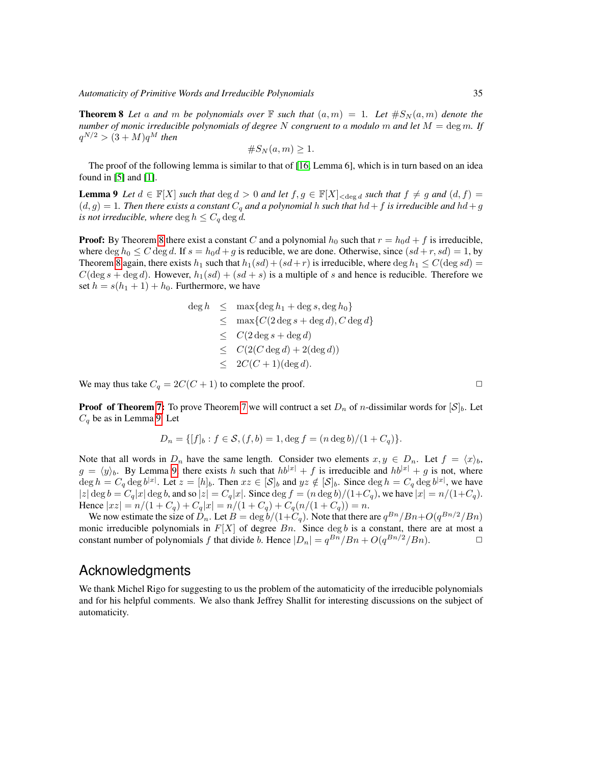**Theorem 8** Let a and m be polynomials over  $\mathbb F$  such that  $(a, m) = 1$ . Let  $\#S_N(a, m)$  denote the *number of monic irreducible polynomials of degree* N *congruent to* a *modulo* m *and let* M = deg m*. If*  $q^{N/2}$   $>$   $(3 + M)q^M$  then

$$
\#S_N(a,m)\geq 1.
$$

The proof of the following lemma is similar to that of [\[16,](#page-7-5) Lemma 6], which is in turn based on an idea found in  $[5]$  and  $[1]$ .

<span id="page-6-0"></span>**Lemma 9** Let  $d \in \mathbb{F}[X]$  *such that*  $\deg d > 0$  *and let*  $f, g \in \mathbb{F}[X]_{< \deg d}$  *such that*  $f \neq g$  *and*  $(d, f) =$  $(d, g) = 1$ . Then there exists a constant  $C_q$  and a polynomial h such that  $hd + f$  is irreducible and  $hd + g$ *is not irreducible, where*  $\deg h \leq C_q \deg d$ .

**Proof:** By Theorem [8](#page-5-0) there exist a constant C and a polynomial  $h_0$  such that  $r = h_0d + f$  is irreducible, where deg  $h_0 \leq C$  deg d. If  $s = h_0d + g$  is reducible, we are done. Otherwise, since  $(sd + r, sd) = 1$ , by Theorem [8](#page-5-0) again, there exists  $h_1$  such that  $h_1(sd) + (sd+r)$  is irreducible, where deg  $h_1 \leq C(\text{deg } sd)$  $C(\deg s + \deg d)$ . However,  $h_1(sl) + (sd + s)$  is a multiple of s and hence is reducible. Therefore we set  $h = s(h_1 + 1) + h_0$ . Furthermore, we have

$$
deg h \leq max{deg h_1 + deg s, deg h_0}
$$
  
\n
$$
\leq max{C(2 deg s + deg d), C deg d}
$$
  
\n
$$
\leq C(2 deg s + deg d)
$$
  
\n
$$
\leq C(2(C deg d) + 2(deg d))
$$
  
\n
$$
\leq 2C(C + 1)(deg d).
$$

We may thus take  $C_q = 2C(C + 1)$  to complete the proof.

**Proof of Theorem [7:](#page-5-1)** To prove Theorem [7](#page-5-1) we will contruct a set  $D_n$  of *n*-dissimilar words for  $[\mathcal{S}]_b$ . Let  $C_q$  be as in Lemma [9.](#page-6-0) Let

$$
D_n = \{ [f]_b : f \in \mathcal{S}, (f, b) = 1, \deg f = (n \deg b)/(1 + C_q) \}.
$$

Note that all words in  $D_n$  have the same length. Consider two elements  $x, y \in D_n$ . Let  $f = \langle x \rangle_b$ ,  $g = \langle y \rangle_b$ . By Lemma [9,](#page-6-0) there exists h such that  $hb^{|x|} + f$  is irreducible and  $hb^{|x|} + g$  is not, where  $\deg h = C_q \deg b^{|x|}$ . Let  $z = [h]_b$ . Then  $xz \in [\mathcal{S}]_b$  and  $yz \notin [\mathcal{S}]_b$ . Since  $\deg h = C_q \deg b^{|x|}$ , we have  $|z| \deg b = C_q |x| \deg b$ , and so  $|z| = C_q |x|$ . Since  $\deg f = (n \deg b)/(1+C_q)$ , we have  $|x| = n/(1+C_q)$ . Hence  $|xz| = n/(1+C_q) + C_q|x| = n/(1+C_q) + C_q(n/(1+C_q)) = n$ .

We now estimate the size of  $\tilde{D}_n$ . Let  $B = \deg b/(1+\tilde{C}_q)$ . Note that there are  $q^{Bn}/Bn + O(q^{Bn/2}/Bn)$ monic irreducible polynomials in  $F[X]$  of degree  $B_n$ . Since  $\deg b$  is a constant, there are at most a constant number of polynomials f that divide b. Hence  $|D_n| = q^{Bn}/Bn + O(q^{Bn/2}/Bn)$ .

#### Acknowledgments

We thank Michel Rigo for suggesting to us the problem of the automaticity of the irreducible polynomials and for his helpful comments. We also thank Jeffrey Shallit for interesting discussions on the subject of automaticity.